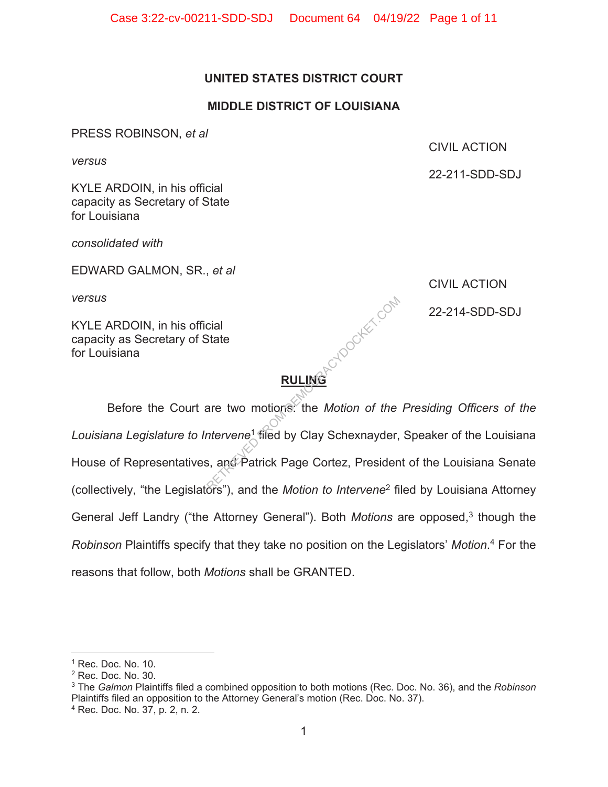# **UNITED STATES DISTRICT COURT**

### **MIDDLE DISTRICT OF LOUISIANA**

PRESS ROBINSON, *et al* 

*versus* 

KYLE ARDOIN, in his official capacity as Secretary of State for Louisiana

*consolidated with* 

EDWARD GALMON, SR., *et al* 

*versus* 

KYLE ARDOIN, in his official capacity as Secretary of State for Louisiana

CIVIL ACTION

 $\mathbb{C}^{\mathbb{C}^2}$  and 22-214-SDD-SDJ

**RULING** 

Before the Court are two motions: the *Motion of the Presiding Officers of the Louisiana Legislature to Intervene*<sup>1</sup> filed by Clay Schexnayder, Speaker of the Louisiana House of Representatives, and Patrick Page Cortez, President of the Louisiana Senate (collectively, "the Legislators"), and the *Motion to Intervene*2 filed by Louisiana Attorney General Jeff Landry ("the Attorney General"). Both *Motions* are opposed,<sup>3</sup> though the *Robinson* Plaintiffs specify that they take no position on the Legislators' *Motion*. 4 For the reasons that follow, both *Motions* shall be GRANTED. Cial<br>State<br>are two motions. the Motion of the<br>ntervene<sup>1</sup> filed by Clay Schexnayder,<br>s, and Patrick Page Cortez, Presiden

# CIVIL ACTION

22-211-SDD-SDJ

 $<sup>1</sup>$  Rec. Doc. No. 10.</sup>

<sup>2</sup> Rec. Doc. No. 30.

<sup>3</sup> The *Galmon* Plaintiffs filed a combined opposition to both motions (Rec. Doc. No. 36), and the *Robinson* Plaintiffs filed an opposition to the Attorney General's motion (Rec. Doc. No. 37).

<sup>4</sup> Rec. Doc. No. 37, p. 2, n. 2.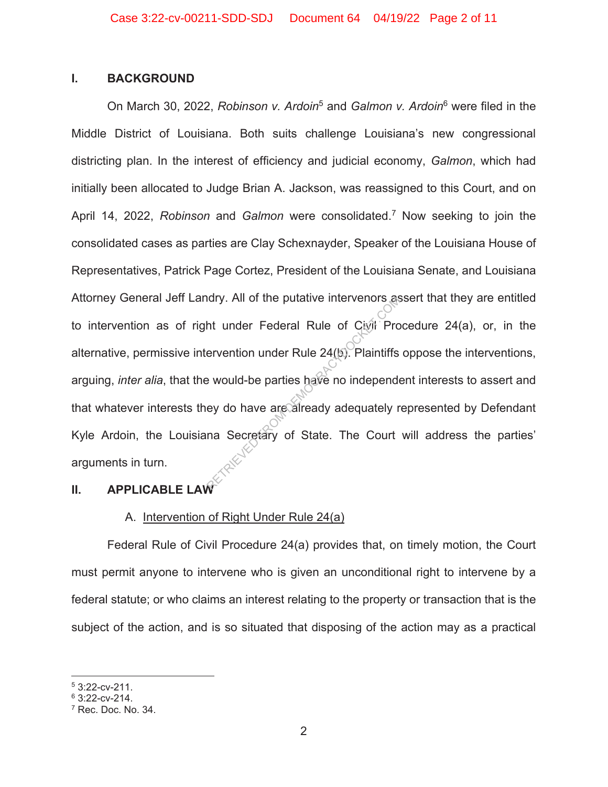### **I. BACKGROUND**

On March 30, 2022, *Robinson v. Ardoin*5 and *Galmon v. Ardoin*<sup>6</sup> were filed in the Middle District of Louisiana. Both suits challenge Louisiana's new congressional districting plan. In the interest of efficiency and judicial economy, *Galmon*, which had initially been allocated to Judge Brian A. Jackson, was reassigned to this Court, and on April 14, 2022, *Robinson* and *Galmon* were consolidated.7 Now seeking to join the consolidated cases as parties are Clay Schexnayder, Speaker of the Louisiana House of Representatives, Patrick Page Cortez, President of the Louisiana Senate, and Louisiana Attorney General Jeff Landry. All of the putative intervenors assert that they are entitled to intervention as of right under Federal Rule of Civil Procedure 24(a), or, in the alternative, permissive intervention under Rule 24(b). Plaintiffs oppose the interventions, arguing, *inter alia*, that the would-be parties have no independent interests to assert and that whatever interests they do have are already adequately represented by Defendant Kyle Ardoin, the Louisiana Secretary of State. The Court will address the parties' arguments in turn. Retaining the purative intervenors as<br>
At under Federal Rule of Civil Pro<br>
ervention under Rule 24(b). Plaintiffs<br>
e would-be parties have no independe<br>
ey do have are already adequately r<br>
ma Secretary of State. The Court

# **II. APPLICABLE LAW**

# A. Intervention of Right Under Rule 24(a)

Federal Rule of Civil Procedure 24(a) provides that, on timely motion, the Court must permit anyone to intervene who is given an unconditional right to intervene by a federal statute; or who claims an interest relating to the property or transaction that is the subject of the action, and is so situated that disposing of the action may as a practical

 $53:22$ -cv-211.

 $6$  3:22-cv-214.

 $<sup>7</sup>$  Rec. Doc. No. 34.</sup>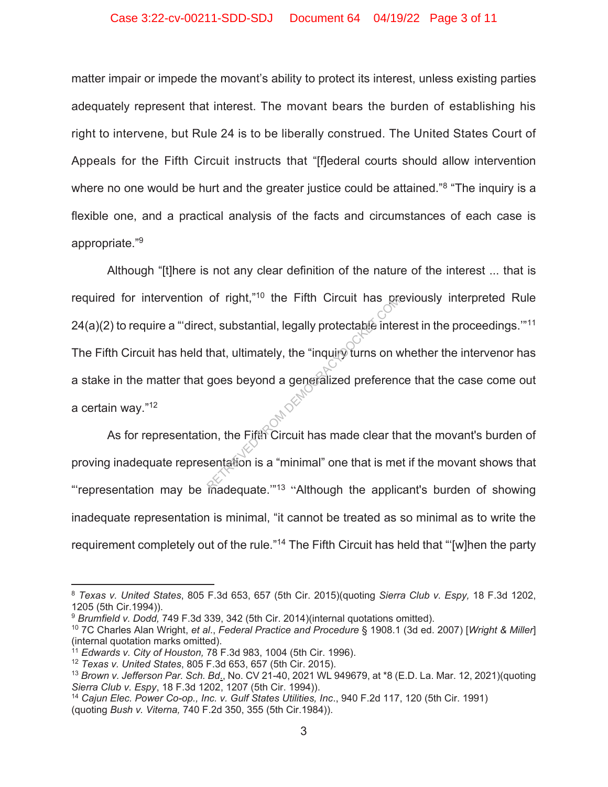#### Case 3:22-cv-00211-SDD-SDJ Document 64 04/19/22 Page 3 of 11

matter impair or impede the movant's ability to protect its interest, unless existing parties adequately represent that interest. The movant bears the burden of establishing his right to intervene, but Rule 24 is to be liberally construed. The United States Court of Appeals for the Fifth Circuit instructs that "[f]ederal courts should allow intervention where no one would be hurt and the greater justice could be attained."<sup>8</sup> "The inquiry is a flexible one, and a practical analysis of the facts and circumstances of each case is appropriate."9

Although "[t]here is not any clear definition of the nature of the interest ... that is required for intervention of right,"10 the Fifth Circuit has previously interpreted Rule  $24(a)(2)$  to require a "direct, substantial, legally protectable interest in the proceedings."<sup>11</sup> The Fifth Circuit has held that, ultimately, the "inquiry turns on whether the intervenor has a stake in the matter that goes beyond a generalized preference that the case come out a certain way."12 or right, <sup>no</sup> the Fifth Circuit has protectable interest.<br>
that, ultimately, the "inquiry turns on v<br>
goes beyond a generalized preference<br>
on, the Fifth Circuit has made clear the<br>
sentation is a "minimal" one that is me

As for representation, the Fifth Circuit has made clear that the movant's burden of proving inadequate representation is a "minimal" one that is met if the movant shows that "representation may be inadequate."<sup>13</sup> "Although the applicant's burden of showing inadequate representation is minimal, "it cannot be treated as so minimal as to write the requirement completely out of the rule."<sup>14</sup> The Fifth Circuit has held that "'[w]hen the party

<sup>8</sup> *Texas v. United States*, 805 F.3d 653, 657 (5th Cir. 2015)(quoting *Sierra Club v. Espy,* 18 F.3d 1202, 1205 (5th Cir.1994)).

<sup>9</sup> *Brumfield v. Dodd,* 749 F.3d 339, 342 (5th Cir. 2014)(internal quotations omitted).

<sup>10 7</sup>C Charles Alan Wright, *et al*., *Federal Practice and Procedure* § 1908.1 (3d ed. 2007) [*Wright & Miller*] (internal quotation marks omitted).

<sup>11</sup> *Edwards v. City of Houston,* 78 F.3d 983, 1004 (5th Cir. 1996).

<sup>12</sup> *Texas v. United States*, 805 F.3d 653, 657 (5th Cir. 2015).

<sup>13</sup> *Brown v. Jefferson Par. Sch. Bd*., No. CV 21-40, 2021 WL 949679, at \*8 (E.D. La. Mar. 12, 2021)(quoting *Sierra Club v. Espy*, 18 F.3d 1202, 1207 (5th Cir. 1994)).

<sup>14</sup> *Cajun Elec. Power Co-op., Inc. v. Gulf States Utilities, Inc*., 940 F.2d 117, 120 (5th Cir. 1991) (quoting *Bush v. Viterna,* 740 F.2d 350, 355 (5th Cir.1984)).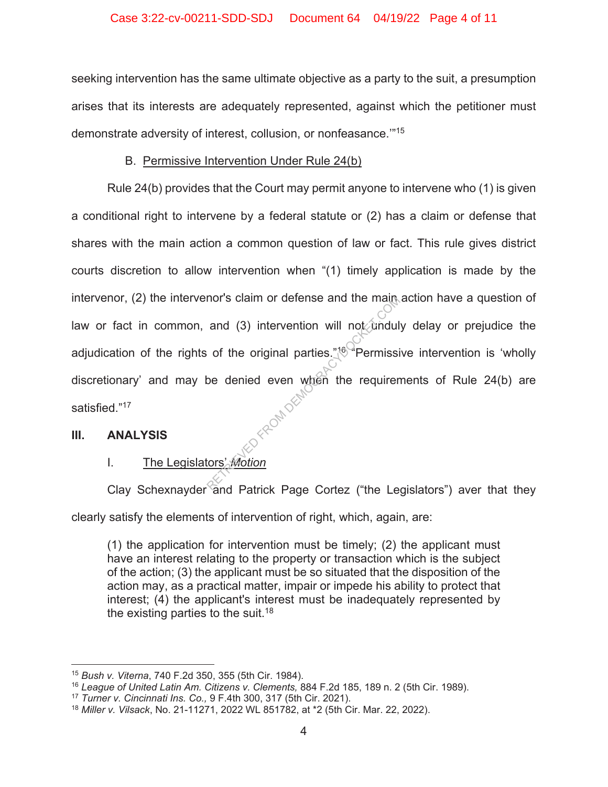# Case 3:22-cv-00211-SDD-SDJ Document 64 04/19/22 Page 4 of 11

seeking intervention has the same ultimate objective as a party to the suit, a presumption arises that its interests are adequately represented, against which the petitioner must demonstrate adversity of interest, collusion, or nonfeasance.'"15

# B. Permissive Intervention Under Rule 24(b)

Rule 24(b) provides that the Court may permit anyone to intervene who (1) is given a conditional right to intervene by a federal statute or (2) has a claim or defense that shares with the main action a common question of law or fact. This rule gives district courts discretion to allow intervention when "(1) timely application is made by the intervenor, (2) the intervenor's claim or defense and the main action have a question of law or fact in common, and (3) intervention will not unduly delay or prejudice the adjudication of the rights of the original parties." $\sqrt[8]{}$  Permissive intervention is 'wholly discretionary' and may be denied even when the requirements of Rule 24(b) are satisfied."17 Reference and the main<br>and (3) intervention will not undul<br>of the original parties."<sup>160</sup> Permissi<br>be denied even when the requirer<br>constantion

# **III. ANALYSIS**

# I. The Legislators' *Motion*

Clay Schexnayder and Patrick Page Cortez ("the Legislators") aver that they clearly satisfy the elements of intervention of right, which, again, are:

(1) the application for intervention must be timely; (2) the applicant must have an interest relating to the property or transaction which is the subject of the action; (3) the applicant must be so situated that the disposition of the action may, as a practical matter, impair or impede his ability to protect that interest; (4) the applicant's interest must be inadequately represented by the existing parties to the suit.<sup>18</sup>

<sup>15</sup> *Bush v. Viterna*, 740 F.2d 350, 355 (5th Cir. 1984).

<sup>16</sup> *League of United Latin Am. Citizens v. Clements,* 884 F.2d 185, 189 n. 2 (5th Cir. 1989).

<sup>17</sup> *Turner v. Cincinnati Ins. Co.,* 9 F.4th 300, 317 (5th Cir. 2021).

<sup>18</sup> *Miller v. Vilsack*, No. 21-11271, 2022 WL 851782, at \*2 (5th Cir. Mar. 22, 2022).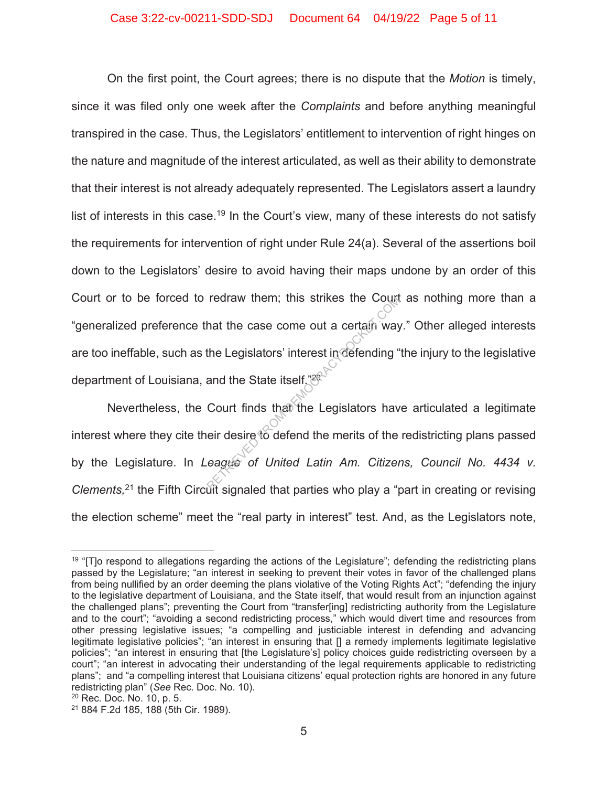On the first point, the Court agrees; there is no dispute that the *Motion* is timely, since it was filed only one week after the *Complaints* and before anything meaningful transpired in the case. Thus, the Legislators' entitlement to intervention of right hinges on the nature and magnitude of the interest articulated, as well as their ability to demonstrate that their interest is not already adequately represented. The Legislators assert a laundry list of interests in this case.<sup>19</sup> In the Court's view, many of these interests do not satisfy the requirements for intervention of right under Rule 24(a). Several of the assertions boil down to the Legislators' desire to avoid having their maps undone by an order of this Court or to be forced to redraw them; this strikes the Court as nothing more than a "generalized preference that the case come out a certain way." Other alleged interests are too ineffable, such as the Legislators' interest in defending "the injury to the legislative department of Louisiana, and the State itself."<sup>26</sup> redraw them; this strikes the Count<br>hat the case come out a certain way<br>the Legislators' interest in defending<br>and the State itself."<sup>26</sup><br>Court finds that the Legislators have<br>eir desire to defend the merits of the<br>eague o

Nevertheless, the Court finds that the Legislators have articulated a legitimate interest where they cite their desire to defend the merits of the redistricting plans passed by the Legislature. In *League* of United Latin Am. Citizens, Council No. 4434 v. *Clements,*21 the Fifth Circuit signaled that parties who play a "part in creating or revising the election scheme" meet the "real party in interest" test. And, as the Legislators note,

<sup>&</sup>lt;sup>19</sup> "[T]o respond to allegations regarding the actions of the Legislature"; defending the redistricting plans passed by the Legislature; "an interest in seeking to prevent their votes in favor of the challenged plans from being nullified by an order deeming the plans violative of the Voting Rights Act"; "defending the injury to the legislative department of Louisiana, and the State itself, that would result from an injunction against the challenged plans"; preventing the Court from "transfer[ing] redistricting authority from the Legislature and to the court"; "avoiding a second redistricting process," which would divert time and resources from other pressing legislative issues; "a compelling and justiciable interest in defending and advancing legitimate legislative policies"; "an interest in ensuring that [] a remedy implements legitimate legislative policies"; "an interest in ensuring that [the Legislature's] policy choices guide redistricting overseen by a court"; "an interest in advocating their understanding of the legal requirements applicable to redistricting plans"; and "a compelling interest that Louisiana citizens' equal protection rights are honored in any future redistricting plan" (*See* Rec. Doc. No. 10).

<sup>20</sup> Rec. Doc. No. 10, p. 5.

<sup>21 884</sup> F.2d 185, 188 (5th Cir. 1989).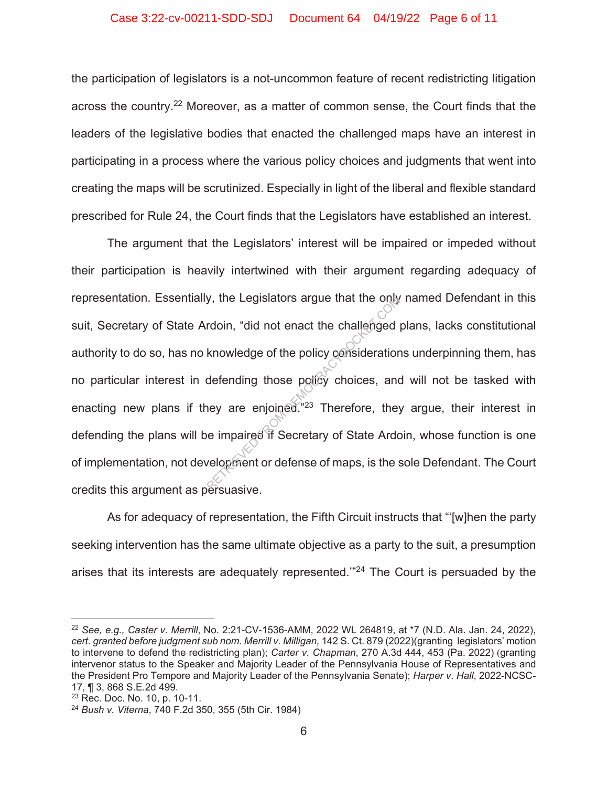#### Case 3:22-cv-00211-SDD-SDJ Document 64 04/19/22 Page 6 of 11

the participation of legislators is a not-uncommon feature of recent redistricting litigation across the country.<sup>22</sup> Moreover, as a matter of common sense, the Court finds that the leaders of the legislative bodies that enacted the challenged maps have an interest in participating in a process where the various policy choices and judgments that went into creating the maps will be scrutinized. Especially in light of the liberal and flexible standard prescribed for Rule 24, the Court finds that the Legislators have established an interest.

The argument that the Legislators' interest will be impaired or impeded without their participation is heavily intertwined with their argument regarding adequacy of representation. Essentially, the Legislators argue that the only named Defendant in this suit, Secretary of State Ardoin, "did not enact the challenged plans, lacks constitutional authority to do so, has no knowledge of the policy considerations underpinning them, has no particular interest in defending those policy choices, and will not be tasked with enacting new plans if they are enjoined.<sup>"23</sup> Therefore, they argue, their interest in defending the plans will be impaired if Secretary of State Ardoin, whose function is one of implementation, not development or defense of maps, is the sole Defendant. The Court credits this argument as persuasive. y, the Legislators argue that the only<br>rdoin, "did not enact the challenged<br>knowledge of the policy consideratior<br>defending those policy choices, and<br>ney are enjoined."<sup>23</sup> Therefore, they<br>e impaired if Secretary of State

As for adequacy of representation, the Fifth Circuit instructs that "'[w]hen the party seeking intervention has the same ultimate objective as a party to the suit, a presumption arises that its interests are adequately represented."<sup>24</sup> The Court is persuaded by the

<sup>22</sup> *See, e.g., Caster v. Merrill*, No. 2:21-CV-1536-AMM, 2022 WL 264819, at \*7 (N.D. Ala. Jan. 24, 2022), *cert. granted before judgment sub nom. Merrill v. Milligan,* 142 S. Ct. 879 (2022)(granting legislators' motion to intervene to defend the redistricting plan); *Carter v. Chapman*, 270 A.3d 444, 453 (Pa. 2022) (granting intervenor status to the Speaker and Majority Leader of the Pennsylvania House of Representatives and the President Pro Tempore and Majority Leader of the Pennsylvania Senate); *Harper v. Hall*, 2022-NCSC-17, ¶ 3, 868 S.E.2d 499.

<sup>23</sup> Rec. Doc. No. 10, p. 10-11.

<sup>24</sup> *Bush v. Viterna*, 740 F.2d 350, 355 (5th Cir. 1984)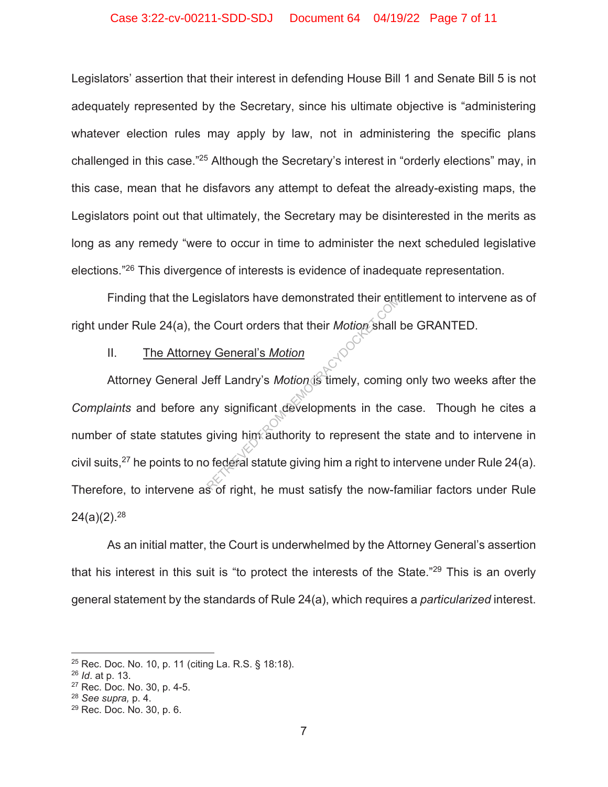#### Case 3:22-cv-00211-SDD-SDJ Document 64 04/19/22 Page 7 of 11

Legislators' assertion that their interest in defending House Bill 1 and Senate Bill 5 is not adequately represented by the Secretary, since his ultimate objective is "administering whatever election rules may apply by law, not in administering the specific plans challenged in this case."25 Although the Secretary's interest in "orderly elections" may, in this case, mean that he disfavors any attempt to defeat the already-existing maps, the Legislators point out that ultimately, the Secretary may be disinterested in the merits as long as any remedy "were to occur in time to administer the next scheduled legislative elections."26 This divergence of interests is evidence of inadequate representation.

Finding that the Legislators have demonstrated their entitlement to intervene as of right under Rule 24(a), the Court orders that their *Motion* shall be GRANTED.

# II. The Attorney General's *Motion*

Attorney General Jeff Landry's *Motion* is timely, coming only two weeks after the *Complaints* and before any significant developments in the case. Though he cites a number of state statutes giving him authority to represent the state and to intervene in civil suits,<sup>27</sup> he points to no federal statute giving him a right to intervene under Rule 24(a). Therefore, to intervene as of right, he must satisfy the now-familiar factors under Rule  $24(a)(2).^{28}$ gislators have demonstrated their entreptions.<br>
Pe Court orders that their Motion shall<br>
Leff Landry's Motion is timely, coming<br>
performance of the must satisfy the now for<br>
Contained Statute giving him a right to in

As an initial matter, the Court is underwhelmed by the Attorney General's assertion that his interest in this suit is "to protect the interests of the State."<sup>29</sup> This is an overly general statement by the standards of Rule 24(a), which requires a *particularized* interest.

<sup>25</sup> Rec. Doc. No. 10, p. 11 (citing La. R.S. § 18:18).

<sup>26</sup> *Id*. at p. 13.

<sup>27</sup> Rec. Doc. No. 30, p. 4-5.

<sup>28</sup> *See supra,* p. 4.

<sup>29</sup> Rec. Doc. No. 30, p. 6.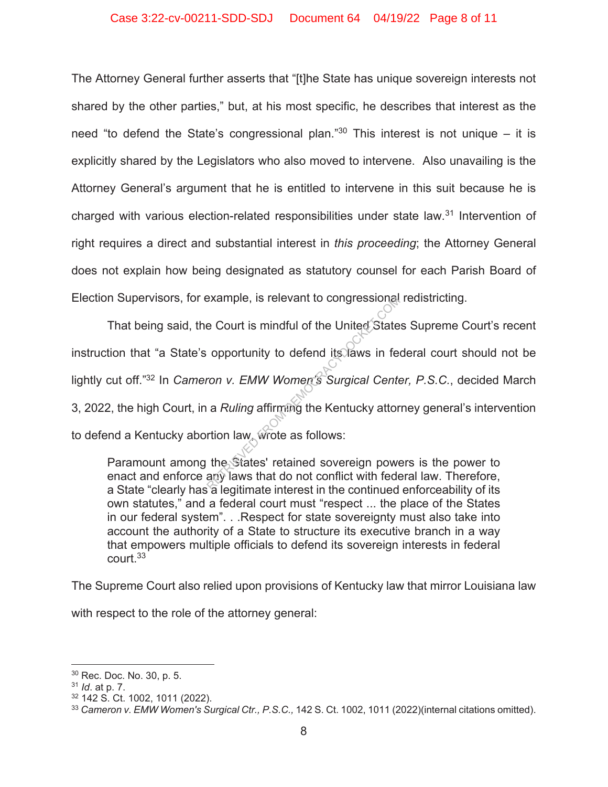### Case 3:22-cv-00211-SDD-SDJ Document 64 04/19/22 Page 8 of 11

The Attorney General further asserts that "[t]he State has unique sovereign interests not shared by the other parties," but, at his most specific, he describes that interest as the need "to defend the State's congressional plan." $30$  This interest is not unique – it is explicitly shared by the Legislators who also moved to intervene. Also unavailing is the Attorney General's argument that he is entitled to intervene in this suit because he is charged with various election-related responsibilities under state law.<sup>31</sup> Intervention of right requires a direct and substantial interest in *this proceeding*; the Attorney General does not explain how being designated as statutory counsel for each Parish Board of Election Supervisors, for example, is relevant to congressional redistricting.

That being said, the Court is mindful of the United States Supreme Court's recent instruction that "a State's opportunity to defend its laws in federal court should not be lightly cut off."32 In *Cameron v. EMW Women's Surgical Center, P.S.C.*, decided March 3, 2022, the high Court, in a *Ruling* affirming the Kentucky attorney general's intervention to defend a Kentucky abortion law, wrote as follows: Example, is relevant to congressional<br>
e Court is mindful of the United State<br>
opportunity to defend its laws in feron v. EMW Women's Surgical Cente<br>
a Ruling affirming the Kentucky attor<br>
rtion law, wrote as follows:<br>
the

Paramount among the States' retained sovereign powers is the power to enact and enforce any laws that do not conflict with federal law. Therefore, a State "clearly has a legitimate interest in the continued enforceability of its own statutes," and a federal court must "respect ... the place of the States in our federal system". . .Respect for state sovereignty must also take into account the authority of a State to structure its executive branch in a way that empowers multiple officials to defend its sovereign interests in federal court.33

The Supreme Court also relied upon provisions of Kentucky law that mirror Louisiana law

with respect to the role of the attorney general:

<sup>30</sup> Rec. Doc. No. 30, p. 5.

<sup>31</sup> *Id*. at p. 7.

<sup>32 142</sup> S. Ct. 1002, 1011 (2022).

<sup>33</sup> *Cameron v. EMW Women's Surgical Ctr., P.S.C.,* 142 S. Ct. 1002, 1011 (2022)(internal citations omitted).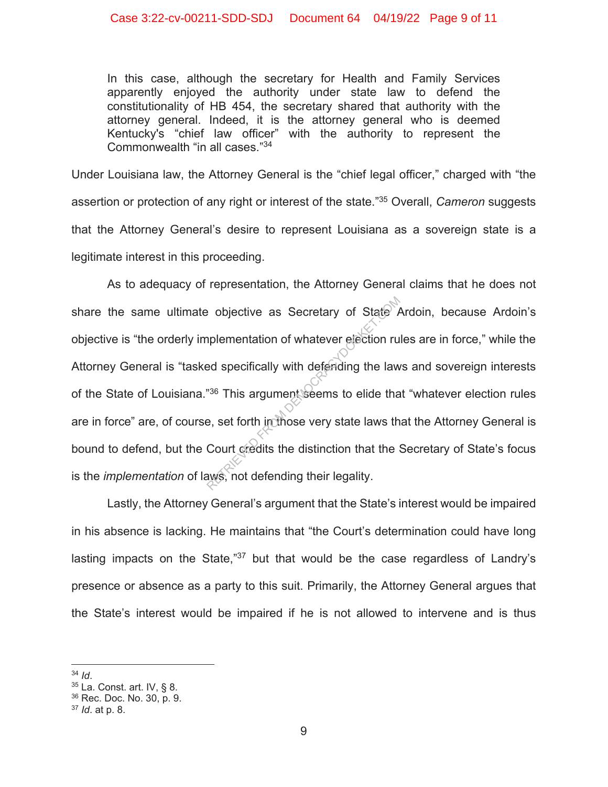In this case, although the secretary for Health and Family Services apparently enjoyed the authority under state law to defend the constitutionality of HB 454, the secretary shared that authority with the attorney general. Indeed, it is the attorney general who is deemed Kentucky's "chief law officer" with the authority to represent the Commonwealth "in all cases."34

Under Louisiana law, the Attorney General is the "chief legal officer," charged with "the assertion or protection of any right or interest of the state."35 Overall, *Cameron* suggests that the Attorney General's desire to represent Louisiana as a sovereign state is a legitimate interest in this proceeding.

As to adequacy of representation, the Attorney General claims that he does not share the same ultimate objective as Secretary of State Ardoin, because Ardoin's objective is "the orderly implementation of whatever election rules are in force," while the Attorney General is "tasked specifically with defending the laws and sovereign interests of the State of Louisiana."36 This argument seems to elide that "whatever election rules are in force" are, of course, set forth in those very state laws that the Attorney General is bound to defend, but the Court credits the distinction that the Secretary of State's focus is the *implementation* of laws, not defending their legality. Between as Secretary of State  $\mu$ <br>plementation of whatever election ru<br>ed specifically with defending the law<br> $^{236}$  This argument seems to elide tha<br>e, set forth inclines very state laws th<br>Court credits the distinctio

Lastly, the Attorney General's argument that the State's interest would be impaired in his absence is lacking. He maintains that "the Court's determination could have long lasting impacts on the State,"<sup>37</sup> but that would be the case regardless of Landry's presence or absence as a party to this suit. Primarily, the Attorney General argues that the State's interest would be impaired if he is not allowed to intervene and is thus

<sup>&</sup>lt;sup>34</sup> *Id.*<br><sup>35</sup> La. Const. art. IV, § 8.

<sup>36</sup> Rec. Doc. No. 30, p. 9.

<sup>37</sup> *Id*. at p. 8.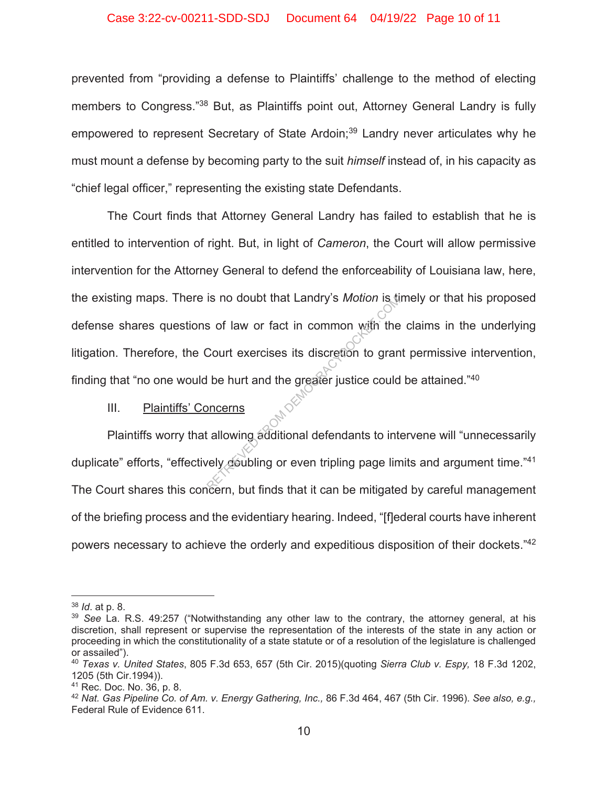#### Case 3:22-cv-00211-SDD-SDJ Document 64 04/19/22 Page 10 of 11

prevented from "providing a defense to Plaintiffs' challenge to the method of electing members to Congress."38 But, as Plaintiffs point out, Attorney General Landry is fully empowered to represent Secretary of State Ardoin;<sup>39</sup> Landry never articulates why he must mount a defense by becoming party to the suit *himself* instead of, in his capacity as "chief legal officer," representing the existing state Defendants.

The Court finds that Attorney General Landry has failed to establish that he is entitled to intervention of right. But, in light of *Cameron*, the Court will allow permissive intervention for the Attorney General to defend the enforceability of Louisiana law, here, the existing maps. There is no doubt that Landry's *Motion* is timely or that his proposed defense shares questions of law or fact in common with the claims in the underlying litigation. Therefore, the Court exercises its discretion to grant permissive intervention, finding that "no one would be hurt and the greater justice could be attained." $40$ Is no doubt that Landry's *Motion* is to<br>s of law or fact in common with the<br>Court exercises its discretion to gran<br>l be hurt and the greater justice could<br><u>pncerns</u><br>allowing additional defendants to intervely doubling or

# III. Plaintiffs' Concerns

Plaintiffs worry that allowing additional defendants to intervene will "unnecessarily duplicate" efforts, "effectively doubling or even tripling page limits and argument time."<sup>41</sup> The Court shares this concern, but finds that it can be mitigated by careful management of the briefing process and the evidentiary hearing. Indeed, "[f]ederal courts have inherent powers necessary to achieve the orderly and expeditious disposition of their dockets."42

<sup>38</sup> *Id*. at p. 8.

<sup>39</sup> *See* La. R.S. 49:257 ("Notwithstanding any other law to the contrary, the attorney general, at his discretion, shall represent or supervise the representation of the interests of the state in any action or proceeding in which the constitutionality of a state statute or of a resolution of the legislature is challenged or assailed").

<sup>40</sup> *Texas v. United States*, 805 F.3d 653, 657 (5th Cir. 2015)(quoting *Sierra Club v. Espy,* 18 F.3d 1202, 1205 (5th Cir.1994)).

<sup>41</sup> Rec. Doc. No. 36, p. 8.

<sup>42</sup> *Nat. Gas Pipeline Co. of Am. v. Energy Gathering, Inc.,* 86 F.3d 464, 467 (5th Cir. 1996). *See also, e.g.,* Federal Rule of Evidence 611.